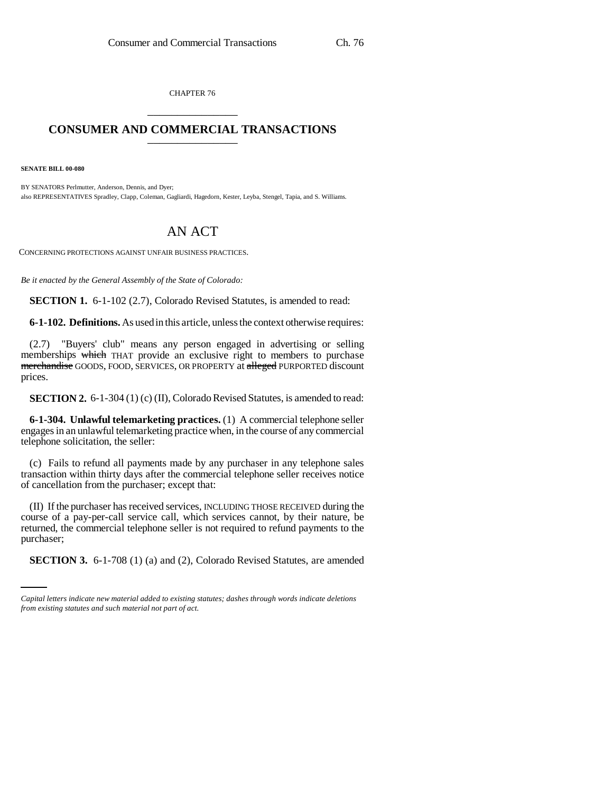CHAPTER 76 \_\_\_\_\_\_\_\_\_\_\_\_\_\_\_

## **CONSUMER AND COMMERCIAL TRANSACTIONS** \_\_\_\_\_\_\_\_\_\_\_\_\_\_\_

**SENATE BILL 00-080** 

BY SENATORS Perlmutter, Anderson, Dennis, and Dyer; also REPRESENTATIVES Spradley, Clapp, Coleman, Gagliardi, Hagedorn, Kester, Leyba, Stengel, Tapia, and S. Williams.

## AN ACT

CONCERNING PROTECTIONS AGAINST UNFAIR BUSINESS PRACTICES.

*Be it enacted by the General Assembly of the State of Colorado:*

**SECTION 1.** 6-1-102 (2.7), Colorado Revised Statutes, is amended to read:

**6-1-102. Definitions.** As used in this article, unless the context otherwise requires:

(2.7) "Buyers' club" means any person engaged in advertising or selling memberships which THAT provide an exclusive right to members to purchase merchandise GOODS, FOOD, SERVICES, OR PROPERTY at alleged PURPORTED discount prices.

**SECTION 2.** 6-1-304 (1) (c) (II), Colorado Revised Statutes, is amended to read:

**6-1-304. Unlawful telemarketing practices.** (1) A commercial telephone seller engages in an unlawful telemarketing practice when, in the course of any commercial telephone solicitation, the seller:

(c) Fails to refund all payments made by any purchaser in any telephone sales transaction within thirty days after the commercial telephone seller receives notice of cancellation from the purchaser; except that:

purchaser; (II) If the purchaser has received services, INCLUDING THOSE RECEIVED during the course of a pay-per-call service call, which services cannot, by their nature, be returned, the commercial telephone seller is not required to refund payments to the

**SECTION 3.** 6-1-708 (1) (a) and (2), Colorado Revised Statutes, are amended

*Capital letters indicate new material added to existing statutes; dashes through words indicate deletions from existing statutes and such material not part of act.*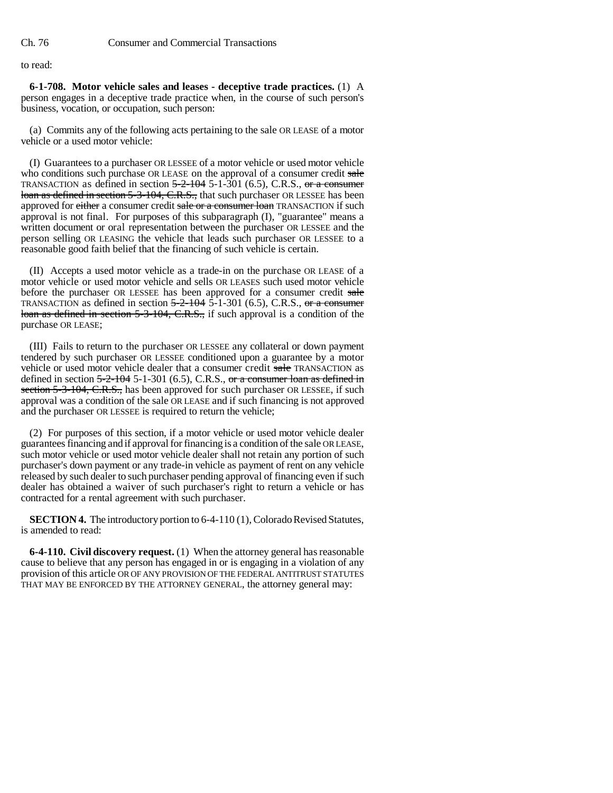to read:

**6-1-708. Motor vehicle sales and leases - deceptive trade practices.** (1) A person engages in a deceptive trade practice when, in the course of such person's business, vocation, or occupation, such person:

(a) Commits any of the following acts pertaining to the sale OR LEASE of a motor vehicle or a used motor vehicle:

(I) Guarantees to a purchaser OR LESSEE of a motor vehicle or used motor vehicle who conditions such purchase OR LEASE on the approval of a consumer credit sale TRANSACTION as defined in section  $5-2-104$  5-1-301 (6.5), C.R.S., or a consumer loan as defined in section 5-3-104, C.R.S., that such purchaser OR LESSEE has been approved for either a consumer credit sale or a consumer loan TRANSACTION if such approval is not final. For purposes of this subparagraph (I), "guarantee" means a written document or oral representation between the purchaser OR LESSEE and the person selling OR LEASING the vehicle that leads such purchaser OR LESSEE to a reasonable good faith belief that the financing of such vehicle is certain.

(II) Accepts a used motor vehicle as a trade-in on the purchase OR LEASE of a motor vehicle or used motor vehicle and sells OR LEASES such used motor vehicle before the purchaser OR LESSEE has been approved for a consumer credit sale TRANSACTION as defined in section  $5-2-104$   $5-1-301$  (6.5), C.R.S., or a consumer loan as defined in section 5-3-104, C.R.S., if such approval is a condition of the purchase OR LEASE;

(III) Fails to return to the purchaser OR LESSEE any collateral or down payment tendered by such purchaser OR LESSEE conditioned upon a guarantee by a motor vehicle or used motor vehicle dealer that a consumer credit sale TRANSACTION as defined in section  $5-2-104$  5-1-301 (6.5), C.R.S., or a consumer loan as defined in section 5-3-104, C.R.S., has been approved for such purchaser OR LESSEE, if such approval was a condition of the sale OR LEASE and if such financing is not approved and the purchaser OR LESSEE is required to return the vehicle;

(2) For purposes of this section, if a motor vehicle or used motor vehicle dealer guarantees financing and if approval for financing is a condition of the sale OR LEASE, such motor vehicle or used motor vehicle dealer shall not retain any portion of such purchaser's down payment or any trade-in vehicle as payment of rent on any vehicle released by such dealer to such purchaser pending approval of financing even if such dealer has obtained a waiver of such purchaser's right to return a vehicle or has contracted for a rental agreement with such purchaser.

**SECTION 4.** The introductory portion to 6-4-110 (1), Colorado Revised Statutes, is amended to read:

**6-4-110. Civil discovery request.** (1) When the attorney general has reasonable cause to believe that any person has engaged in or is engaging in a violation of any provision of this article OR OF ANY PROVISION OF THE FEDERAL ANTITRUST STATUTES THAT MAY BE ENFORCED BY THE ATTORNEY GENERAL, the attorney general may: